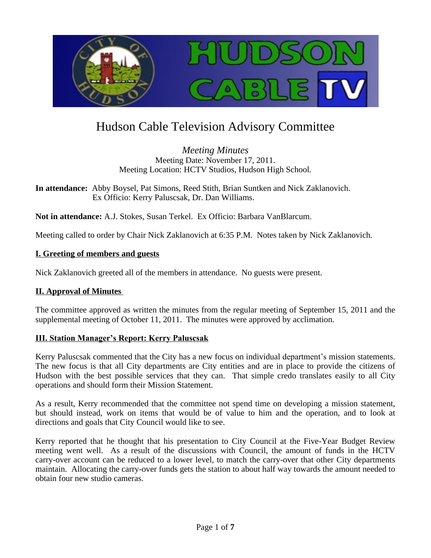

# Hudson Cable Television Advisory Committee

*Meeting Minutes* Meeting Date: November 17, 2011. Meeting Location: HCTV Studios, Hudson High School.

**In attendance:** Abby Boysel, Pat Simons, Reed Stith, Brian Suntken and Nick Zaklanovich. Ex Officio: Kerry Paluscsak, Dr. Dan Williams.

**Not in attendance:** A.J. Stokes, Susan Terkel. Ex Officio: Barbara VanBlarcum.

Meeting called to order by Chair Nick Zaklanovich at 6:35 P.M. Notes taken by Nick Zaklanovich.

## **I. Greeting of members and guests**

Nick Zaklanovich greeted all of the members in attendance. No guests were present.

#### **II. Approval of Minutes**

The committee approved as written the minutes from the regular meeting of September 15, 2011 and the supplemental meeting of October 11, 2011. The minutes were approved by acclimation.

#### **III. Station Manager's Report: Kerry Paluscsak**

Kerry Paluscsak commented that the City has a new focus on individual department's mission statements. The new focus is that all City departments are City entities and are in place to provide the citizens of Hudson with the best possible services that they can. That simple credo translates easily to all City operations and should form their Mission Statement.

As a result, Kerry recommended that the committee not spend time on developing a mission statement, but should instead, work on items that would be of value to him and the operation, and to look at directions and goals that City Council would like to see.

Kerry reported that he thought that his presentation to City Council at the Five-Year Budget Review meeting went well. As a result of the discussions with Council, the amount of funds in the HCTV carry-over account can be reduced to a lower level, to match the carry-over that other City departments maintain. Allocating the carry-over funds gets the station to about half way towards the amount needed to obtain four new studio cameras.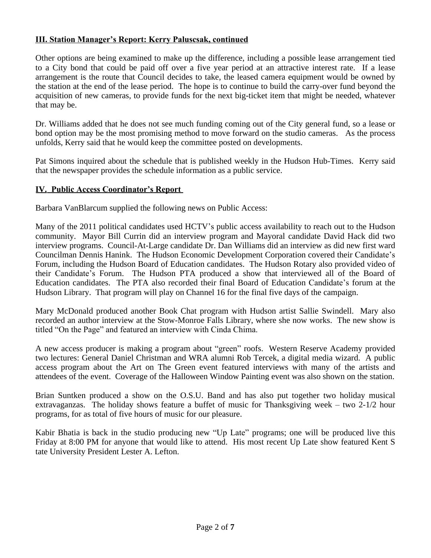# **III. Station Manager's Report: Kerry Paluscsak, continued**

Other options are being examined to make up the difference, including a possible lease arrangement tied to a City bond that could be paid off over a five year period at an attractive interest rate. If a lease arrangement is the route that Council decides to take, the leased camera equipment would be owned by the station at the end of the lease period. The hope is to continue to build the carry-over fund beyond the acquisition of new cameras, to provide funds for the next big-ticket item that might be needed, whatever that may be.

Dr. Williams added that he does not see much funding coming out of the City general fund, so a lease or bond option may be the most promising method to move forward on the studio cameras. As the process unfolds, Kerry said that he would keep the committee posted on developments.

Pat Simons inquired about the schedule that is published weekly in the Hudson Hub-Times. Kerry said that the newspaper provides the schedule information as a public service.

## **IV. Public Access Coordinator's Report**

Barbara VanBlarcum supplied the following news on Public Access:

Many of the 2011 political candidates used HCTV's public access availability to reach out to the Hudson community. Mayor Bill Currin did an interview program and Mayoral candidate David Hack did two interview programs. Council-At-Large candidate Dr. Dan Williams did an interview as did new first ward Councilman Dennis Hanink. The Hudson Economic Development Corporation covered their Candidate's Forum, including the Hudson Board of Education candidates. The Hudson Rotary also provided video of their Candidate's Forum. The Hudson PTA produced a show that interviewed all of the Board of Education candidates. The PTA also recorded their final Board of Education Candidate's forum at the Hudson Library. That program will play on Channel 16 for the final five days of the campaign.

Mary McDonald produced another Book Chat program with Hudson artist Sallie Swindell. Mary also recorded an author interview at the Stow-Monroe Falls Library, where she now works. The new show is titled "On the Page" and featured an interview with Cinda Chima.

A new access producer is making a program about "green" roofs. Western Reserve Academy provided two lectures: General Daniel Christman and WRA alumni Rob Tercek, a digital media wizard. A public access program about the Art on The Green event featured interviews with many of the artists and attendees of the event. Coverage of the Halloween Window Painting event was also shown on the station.

Brian Suntken produced a show on the O.S.U. Band and has also put together two holiday musical extravaganzas. The holiday shows feature a buffet of music for Thanksgiving week – two 2-1/2 hour programs, for as total of five hours of music for our pleasure.

Kabir Bhatia is back in the studio producing new "Up Late" programs; one will be produced live this Friday at 8:00 PM for anyone that would like to attend. His most recent Up Late show featured Kent S tate University President Lester A. Lefton.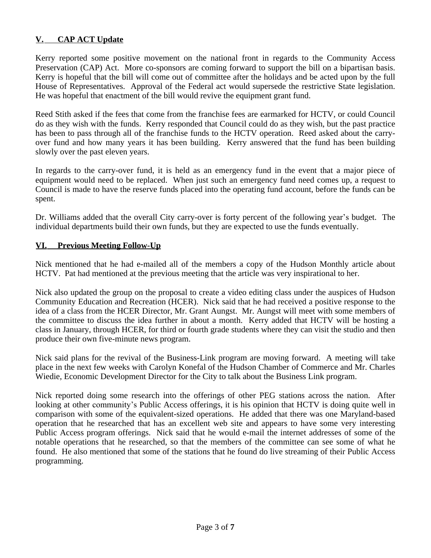# **V. CAP ACT Update**

Kerry reported some positive movement on the national front in regards to the Community Access Preservation (CAP) Act. More co-sponsors are coming forward to support the bill on a bipartisan basis. Kerry is hopeful that the bill will come out of committee after the holidays and be acted upon by the full House of Representatives. Approval of the Federal act would supersede the restrictive State legislation. He was hopeful that enactment of the bill would revive the equipment grant fund.

Reed Stith asked if the fees that come from the franchise fees are earmarked for HCTV, or could Council do as they wish with the funds. Kerry responded that Council could do as they wish, but the past practice has been to pass through all of the franchise funds to the HCTV operation. Reed asked about the carryover fund and how many years it has been building. Kerry answered that the fund has been building slowly over the past eleven years.

In regards to the carry-over fund, it is held as an emergency fund in the event that a major piece of equipment would need to be replaced. When just such an emergency fund need comes up, a request to Council is made to have the reserve funds placed into the operating fund account, before the funds can be spent.

Dr. Williams added that the overall City carry-over is forty percent of the following year's budget. The individual departments build their own funds, but they are expected to use the funds eventually.

## **VI. Previous Meeting Follow-Up**

Nick mentioned that he had e-mailed all of the members a copy of the Hudson Monthly article about HCTV. Pat had mentioned at the previous meeting that the article was very inspirational to her.

Nick also updated the group on the proposal to create a video editing class under the auspices of Hudson Community Education and Recreation (HCER). Nick said that he had received a positive response to the idea of a class from the HCER Director, Mr. Grant Aungst. Mr. Aungst will meet with some members of the committee to discuss the idea further in about a month. Kerry added that HCTV will be hosting a class in January, through HCER, for third or fourth grade students where they can visit the studio and then produce their own five-minute news program.

Nick said plans for the revival of the Business-Link program are moving forward. A meeting will take place in the next few weeks with Carolyn Konefal of the Hudson Chamber of Commerce and Mr. Charles Wiedie, Economic Development Director for the City to talk about the Business Link program.

Nick reported doing some research into the offerings of other PEG stations across the nation. After looking at other community's Public Access offerings, it is his opinion that HCTV is doing quite well in comparison with some of the equivalent-sized operations. He added that there was one Maryland-based operation that he researched that has an excellent web site and appears to have some very interesting Public Access program offerings. Nick said that he would e-mail the internet addresses of some of the notable operations that he researched, so that the members of the committee can see some of what he found. He also mentioned that some of the stations that he found do live streaming of their Public Access programming.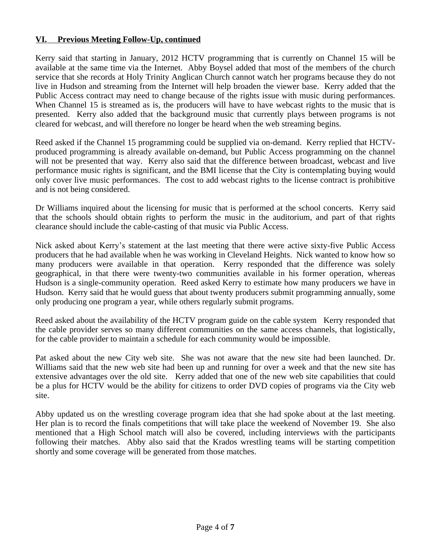# **VI. Previous Meeting Follow-Up, continued**

Kerry said that starting in January, 2012 HCTV programming that is currently on Channel 15 will be available at the same time via the Internet. Abby Boysel added that most of the members of the church service that she records at Holy Trinity Anglican Church cannot watch her programs because they do not live in Hudson and streaming from the Internet will help broaden the viewer base. Kerry added that the Public Access contract may need to change because of the rights issue with music during performances. When Channel 15 is streamed as is, the producers will have to have webcast rights to the music that is presented. Kerry also added that the background music that currently plays between programs is not cleared for webcast, and will therefore no longer be heard when the web streaming begins.

Reed asked if the Channel 15 programming could be supplied via on-demand. Kerry replied that HCTVproduced programming is already available on-demand, but Public Access programming on the channel will not be presented that way. Kerry also said that the difference between broadcast, webcast and live performance music rights is significant, and the BMI license that the City is contemplating buying would only cover live music performances. The cost to add webcast rights to the license contract is prohibitive and is not being considered.

Dr Williams inquired about the licensing for music that is performed at the school concerts. Kerry said that the schools should obtain rights to perform the music in the auditorium, and part of that rights clearance should include the cable-casting of that music via Public Access.

Nick asked about Kerry's statement at the last meeting that there were active sixty-five Public Access producers that he had available when he was working in Cleveland Heights. Nick wanted to know how so many producers were available in that operation. Kerry responded that the difference was solely geographical, in that there were twenty-two communities available in his former operation, whereas Hudson is a single-community operation. Reed asked Kerry to estimate how many producers we have in Hudson. Kerry said that he would guess that about twenty producers submit programming annually, some only producing one program a year, while others regularly submit programs.

Reed asked about the availability of the HCTV program guide on the cable system Kerry responded that the cable provider serves so many different communities on the same access channels, that logistically, for the cable provider to maintain a schedule for each community would be impossible.

Pat asked about the new City web site. She was not aware that the new site had been launched. Dr. Williams said that the new web site had been up and running for over a week and that the new site has extensive advantages over the old site. Kerry added that one of the new web site capabilities that could be a plus for HCTV would be the ability for citizens to order DVD copies of programs via the City web site.

Abby updated us on the wrestling coverage program idea that she had spoke about at the last meeting. Her plan is to record the finals competitions that will take place the weekend of November 19. She also mentioned that a High School match will also be covered, including interviews with the participants following their matches. Abby also said that the Krados wrestling teams will be starting competition shortly and some coverage will be generated from those matches.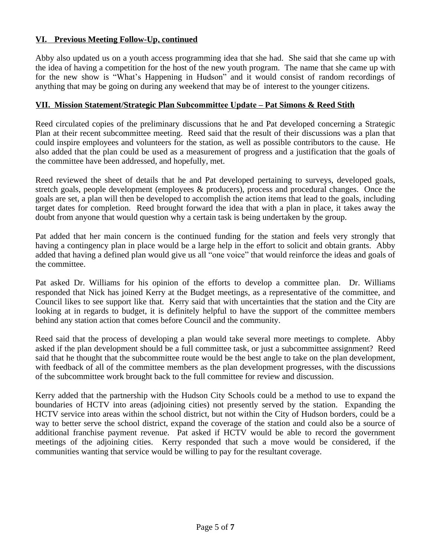# **VI. Previous Meeting Follow-Up, continued**

Abby also updated us on a youth access programming idea that she had. She said that she came up with the idea of having a competition for the host of the new youth program. The name that she came up with for the new show is "What's Happening in Hudson" and it would consist of random recordings of anything that may be going on during any weekend that may be of interest to the younger citizens.

#### **VII. Mission Statement/Strategic Plan Subcommittee Update – Pat Simons & Reed Stith**

Reed circulated copies of the preliminary discussions that he and Pat developed concerning a Strategic Plan at their recent subcommittee meeting. Reed said that the result of their discussions was a plan that could inspire employees and volunteers for the station, as well as possible contributors to the cause. He also added that the plan could be used as a measurement of progress and a justification that the goals of the committee have been addressed, and hopefully, met.

Reed reviewed the sheet of details that he and Pat developed pertaining to surveys, developed goals, stretch goals, people development (employees & producers), process and procedural changes. Once the goals are set, a plan will then be developed to accomplish the action items that lead to the goals, including target dates for completion. Reed brought forward the idea that with a plan in place, it takes away the doubt from anyone that would question why a certain task is being undertaken by the group.

Pat added that her main concern is the continued funding for the station and feels very strongly that having a contingency plan in place would be a large help in the effort to solicit and obtain grants. Abby added that having a defined plan would give us all "one voice" that would reinforce the ideas and goals of the committee.

Pat asked Dr. Williams for his opinion of the efforts to develop a committee plan. Dr. Williams responded that Nick has joined Kerry at the Budget meetings, as a representative of the committee, and Council likes to see support like that. Kerry said that with uncertainties that the station and the City are looking at in regards to budget, it is definitely helpful to have the support of the committee members behind any station action that comes before Council and the community.

Reed said that the process of developing a plan would take several more meetings to complete. Abby asked if the plan development should be a full committee task, or just a subcommittee assignment? Reed said that he thought that the subcommittee route would be the best angle to take on the plan development, with feedback of all of the committee members as the plan development progresses, with the discussions of the subcommittee work brought back to the full committee for review and discussion.

Kerry added that the partnership with the Hudson City Schools could be a method to use to expand the boundaries of HCTV into areas (adjoining cities) not presently served by the station. Expanding the HCTV service into areas within the school district, but not within the City of Hudson borders, could be a way to better serve the school district, expand the coverage of the station and could also be a source of additional franchise payment revenue. Pat asked if HCTV would be able to record the government meetings of the adjoining cities. Kerry responded that such a move would be considered, if the communities wanting that service would be willing to pay for the resultant coverage.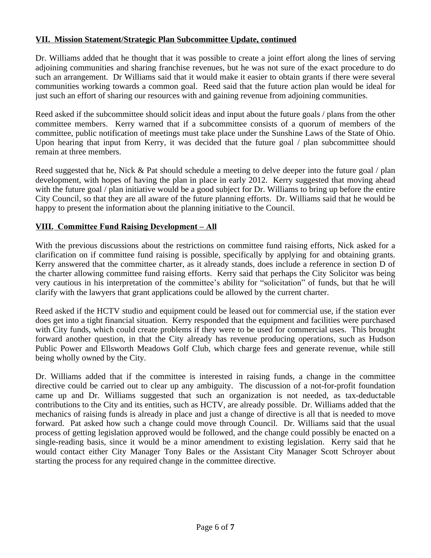# **VII. Mission Statement/Strategic Plan Subcommittee Update, continued**

Dr. Williams added that he thought that it was possible to create a joint effort along the lines of serving adjoining communities and sharing franchise revenues, but he was not sure of the exact procedure to do such an arrangement. Dr Williams said that it would make it easier to obtain grants if there were several communities working towards a common goal. Reed said that the future action plan would be ideal for just such an effort of sharing our resources with and gaining revenue from adjoining communities.

Reed asked if the subcommittee should solicit ideas and input about the future goals / plans from the other committee members. Kerry warned that if a subcommittee consists of a quorum of members of the committee, public notification of meetings must take place under the Sunshine Laws of the State of Ohio. Upon hearing that input from Kerry, it was decided that the future goal / plan subcommittee should remain at three members.

Reed suggested that he, Nick & Pat should schedule a meeting to delve deeper into the future goal  $\ell$  plan development, with hopes of having the plan in place in early 2012. Kerry suggested that moving ahead with the future goal / plan initiative would be a good subject for Dr. Williams to bring up before the entire City Council, so that they are all aware of the future planning efforts. Dr. Williams said that he would be happy to present the information about the planning initiative to the Council.

## **VIII. Committee Fund Raising Development – All**

With the previous discussions about the restrictions on committee fund raising efforts, Nick asked for a clarification on if committee fund raising is possible, specifically by applying for and obtaining grants. Kerry answered that the committee charter, as it already stands, does include a reference in section D of the charter allowing committee fund raising efforts. Kerry said that perhaps the City Solicitor was being very cautious in his interpretation of the committee's ability for "solicitation" of funds, but that he will clarify with the lawyers that grant applications could be allowed by the current charter.

Reed asked if the HCTV studio and equipment could be leased out for commercial use, if the station ever does get into a tight financial situation. Kerry responded that the equipment and facilities were purchased with City funds, which could create problems if they were to be used for commercial uses. This brought forward another question, in that the City already has revenue producing operations, such as Hudson Public Power and Ellsworth Meadows Golf Club, which charge fees and generate revenue, while still being wholly owned by the City.

Dr. Williams added that if the committee is interested in raising funds, a change in the committee directive could be carried out to clear up any ambiguity. The discussion of a not-for-profit foundation came up and Dr. Williams suggested that such an organization is not needed, as tax-deductable contributions to the City and its entities, such as HCTV, are already possible. Dr. Williams added that the mechanics of raising funds is already in place and just a change of directive is all that is needed to move forward. Pat asked how such a change could move through Council. Dr. Williams said that the usual process of getting legislation approved would be followed, and the change could possibly be enacted on a single-reading basis, since it would be a minor amendment to existing legislation. Kerry said that he would contact either City Manager Tony Bales or the Assistant City Manager Scott Schroyer about starting the process for any required change in the committee directive.